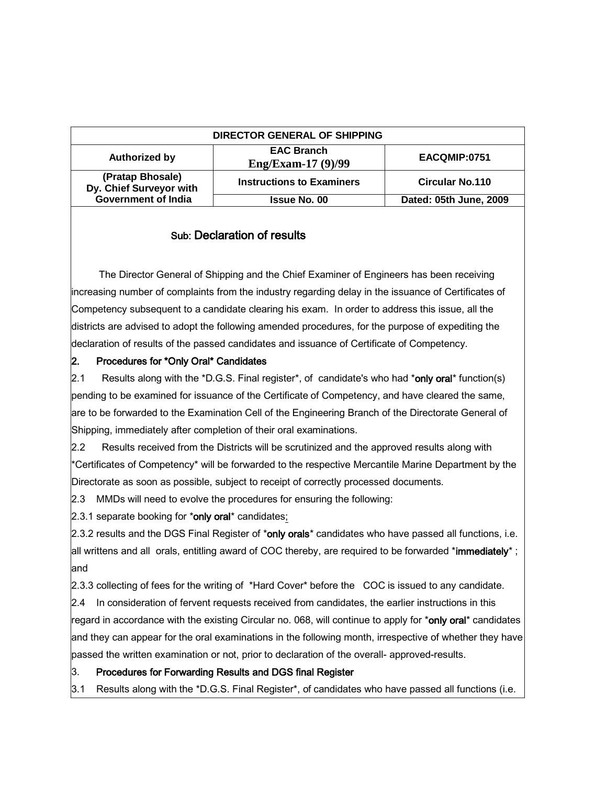| DIRECTOR GENERAL OF SHIPPING                |                                         |                        |
|---------------------------------------------|-----------------------------------------|------------------------|
| <b>Authorized by</b>                        | <b>EAC Branch</b><br>Eng/Exam-17 (9)/99 | EACQMIP:0751           |
| (Pratap Bhosale)<br>Dy. Chief Surveyor with | <b>Instructions to Examiners</b>        | <b>Circular No.110</b> |
| <b>Government of India</b>                  | <b>Issue No. 00</b>                     | Dated: 05th June, 2009 |

## Sub: Declaration of results

 The Director General of Shipping and the Chief Examiner of Engineers has been receiving increasing number of complaints from the industry regarding delay in the issuance of Certificates of Competency subsequent to a candidate clearing his exam. In order to address this issue, all the districts are advised to adopt the following amended procedures, for the purpose of expediting the declaration of results of the passed candidates and issuance of Certificate of Competency.

## 2. Procedures for \*Only Oral\* Candidates

2.1 Results along with the \*D.G.S. Final register\*, of candidate's who had \*only oral\* function(s) pending to be examined for issuance of the Certificate of Competency, and have cleared the same, are to be forwarded to the Examination Cell of the Engineering Branch of the Directorate General of Shipping, immediately after completion of their oral examinations.

2.2 Results received from the Districts will be scrutinized and the approved results along with \*Certificates of Competency\* will be forwarded to the respective Mercantile Marine Department by the Directorate as soon as possible, subject to receipt of correctly processed documents.

2.3 MMDs will need to evolve the procedures for ensuring the following:

2.3.1 separate booking for \*only oral\* candidates;

2.3.2 results and the DGS Final Register of \*only orals\* candidates who have passed all functions, i.e. all writtens and all orals, entitling award of COC thereby, are required to be forwarded \*immediately\*; and

2.3.3 collecting of fees for the writing of \*Hard Cover\* before the COC is issued to any candidate.

2.4 In consideration of fervent requests received from candidates, the earlier instructions in this

regard in accordance with the existing Circular no. 068, will continue to apply for \*only oral\* candidates and they can appear for the oral examinations in the following month, irrespective of whether they have passed the written examination or not, prior to declaration of the overall- approved-results.

## 3. Procedures for Forwarding Results and DGS final Register

3.1 Results along with the \*D.G.S. Final Register\*, of candidates who have passed all functions (i.e.